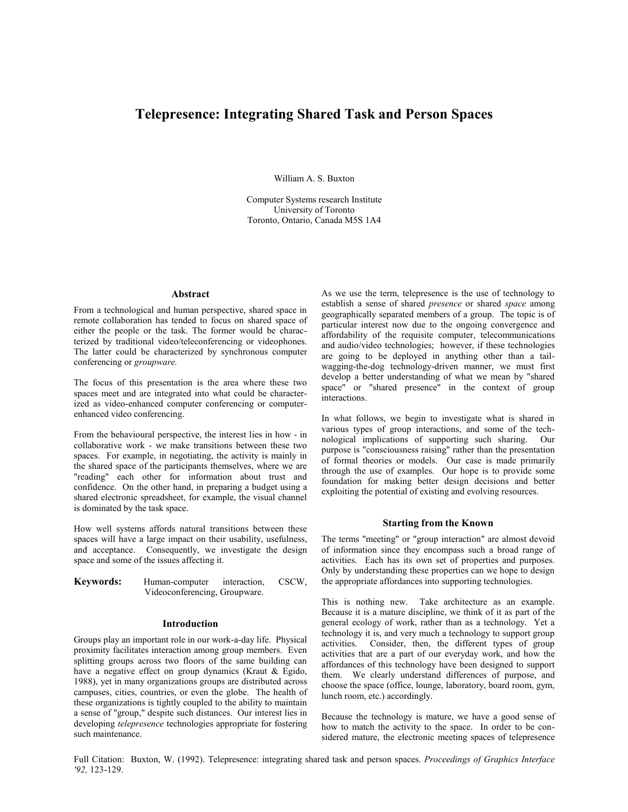# **Telepresence: Integrating Shared Task and Person Spaces**

William A. S. Buxton

Computer Systems research Institute University of Toronto Toronto, Ontario, Canada M5S 1A4

#### **Abstract**

From a technological and human perspective, shared space in remote collaboration has tended to focus on shared space of either the people or the task. The former would be characterized by traditional video/teleconferencing or videophones. The latter could be characterized by synchronous computer conferencing or *groupware.*

The focus of this presentation is the area where these two spaces meet and are integrated into what could be characterized as video-enhanced computer conferencing or computerenhanced video conferencing.

From the behavioural perspective, the interest lies in how - in collaborative work - we make transitions between these two spaces. For example, in negotiating, the activity is mainly in the shared space of the participants themselves, where we are "reading" each other for information about trust and confidence. On the other hand, in preparing a budget using a shared electronic spreadsheet, for example, the visual channel is dominated by the task space.

How well systems affords natural transitions between these spaces will have a large impact on their usability, usefulness, and acceptance. Consequently, we investigate the design space and some of the issues affecting it.

| Keywords: | Human-computer                | interaction, | CSCW, |
|-----------|-------------------------------|--------------|-------|
|           | Videoconferencing, Groupware. |              |       |

#### **Introduction**

Groups play an important role in our work-a-day life. Physical proximity facilitates interaction among group members. Even splitting groups across two floors of the same building can have a negative effect on group dynamics (Kraut & Egido, 1988), yet in many organizations groups are distributed across campuses, cities, countries, or even the globe. The health of these organizations is tightly coupled to the ability to maintain a sense of "group," despite such distances. Our interest lies in developing *telepresence* technologies appropriate for fostering such maintenance.

As we use the term, telepresence is the use of technology to establish a sense of shared *presence* or shared *space* among geographically separated members of a group. The topic is of particular interest now due to the ongoing convergence and affordability of the requisite computer, telecommunications and audio/video technologies; however, if these technologies are going to be deployed in anything other than a tailwagging-the-dog technology-driven manner, we must first develop a better understanding of what we mean by "shared space" or "shared presence" in the context of group interactions.

In what follows, we begin to investigate what is shared in various types of group interactions, and some of the tech-<br>nological implications of supporting such sharing. Our nological implications of supporting such sharing. purpose is "consciousness raising" rather than the presentation of formal theories or models. Our case is made primarily through the use of examples. Our hope is to provide some foundation for making better design decisions and better exploiting the potential of existing and evolving resources.

### **Starting from the Known**

The terms "meeting" or "group interaction" are almost devoid of information since they encompass such a broad range of activities. Each has its own set of properties and purposes. Only by understanding these properties can we hope to design the appropriate affordances into supporting technologies.

This is nothing new. Take architecture as an example. Because it is a mature discipline, we think of it as part of the general ecology of work, rather than as a technology. Yet a technology it is, and very much a technology to support group activities. Consider, then, the different types of group activities that are a part of our everyday work, and how the affordances of this technology have been designed to support them. We clearly understand differences of purpose, and choose the space (office, lounge, laboratory, board room, gym, lunch room, etc.) accordingly.

Because the technology is mature, we have a good sense of how to match the activity to the space. In order to be considered mature, the electronic meeting spaces of telepresence

Full Citation: Buxton, W. (1992). Telepresence: integrating shared task and person spaces. *Proceedings of Graphics Interface '92,* 123-129.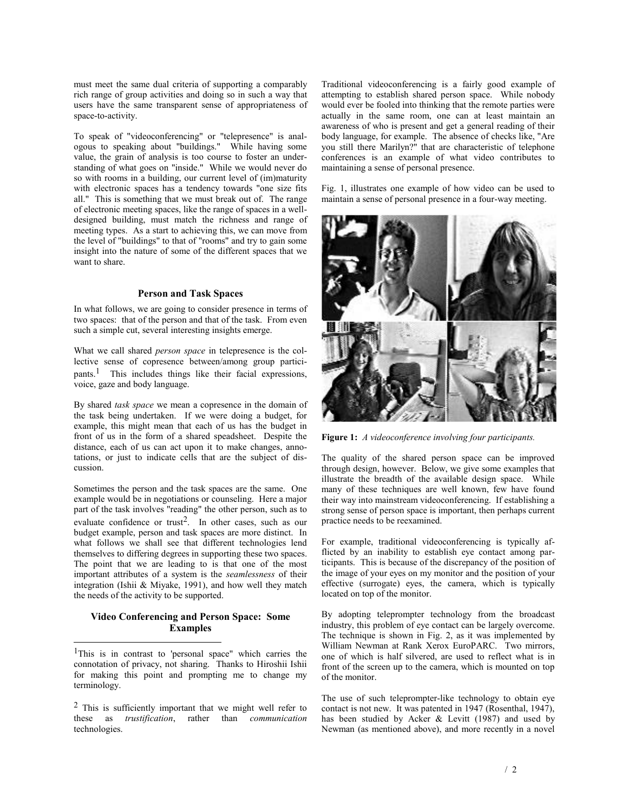must meet the same dual criteria of supporting a comparably rich range of group activities and doing so in such a way that users have the same transparent sense of appropriateness of space-to-activity.

To speak of "videoconferencing" or "telepresence" is analogous to speaking about "buildings." While having some value, the grain of analysis is too course to foster an understanding of what goes on "inside." While we would never do so with rooms in a building, our current level of (im)maturity with electronic spaces has a tendency towards "one size fits all." This is something that we must break out of. The range of electronic meeting spaces, like the range of spaces in a welldesigned building, must match the richness and range of meeting types. As a start to achieving this, we can move from the level of "buildings" to that of "rooms" and try to gain some insight into the nature of some of the different spaces that we want to share.

# **Person and Task Spaces**

In what follows, we are going to consider presence in terms of two spaces: that of the person and that of the task. From even such a simple cut, several interesting insights emerge.

What we call shared *person space* in telepresence is the collective sense of copresence between/among group participants.1 This includes things like their facial expressions, voice, gaze and body language.

By shared *task space* we mean a copresence in the domain of the task being undertaken. If we were doing a budget, for example, this might mean that each of us has the budget in front of us in the form of a shared speadsheet. Despite the distance, each of us can act upon it to make changes, annotations, or just to indicate cells that are the subject of discussion.

Sometimes the person and the task spaces are the same. One example would be in negotiations or counseling. Here a major part of the task involves "reading" the other person, such as to evaluate confidence or trust<sup>2</sup>. In other cases, such as our budget example, person and task spaces are more distinct. In what follows we shall see that different technologies lend themselves to differing degrees in supporting these two spaces. The point that we are leading to is that one of the most important attributes of a system is the *seamlessness* of their integration (Ishii & Miyake, 1991), and how well they match the needs of the activity to be supported.

# **Video Conferencing and Person Space: Some Examples**

 $\overline{a}$ 

1This is in contrast to 'personal space" which carries the connotation of privacy, not sharing. Thanks to Hiroshii Ishii for making this point and prompting me to change my terminology.

2 This is sufficiently important that we might well refer to these as *trustification*, rather than *communication* technologies.

Traditional videoconferencing is a fairly good example of attempting to establish shared person space. While nobody would ever be fooled into thinking that the remote parties were actually in the same room, one can at least maintain an awareness of who is present and get a general reading of their body language, for example. The absence of checks like, "Are you still there Marilyn?" that are characteristic of telephone conferences is an example of what video contributes to maintaining a sense of personal presence.

Fig. 1, illustrates one example of how video can be used to maintain a sense of personal presence in a four-way meeting.



**Figure 1:** *A videoconference involving four participants.* 

The quality of the shared person space can be improved through design, however. Below, we give some examples that illustrate the breadth of the available design space. While many of these techniques are well known, few have found their way into mainstream videoconferencing. If establishing a strong sense of person space is important, then perhaps current practice needs to be reexamined.

For example, traditional videoconferencing is typically afflicted by an inability to establish eye contact among participants. This is because of the discrepancy of the position of the image of your eyes on my monitor and the position of your effective (surrogate) eyes, the camera, which is typically located on top of the monitor.

By adopting teleprompter technology from the broadcast industry, this problem of eye contact can be largely overcome. The technique is shown in Fig. 2, as it was implemented by William Newman at Rank Xerox EuroPARC. Two mirrors, one of which is half silvered, are used to reflect what is in front of the screen up to the camera, which is mounted on top of the monitor.

The use of such teleprompter-like technology to obtain eye contact is not new. It was patented in 1947 (Rosenthal, 1947), has been studied by Acker & Levitt (1987) and used by Newman (as mentioned above), and more recently in a novel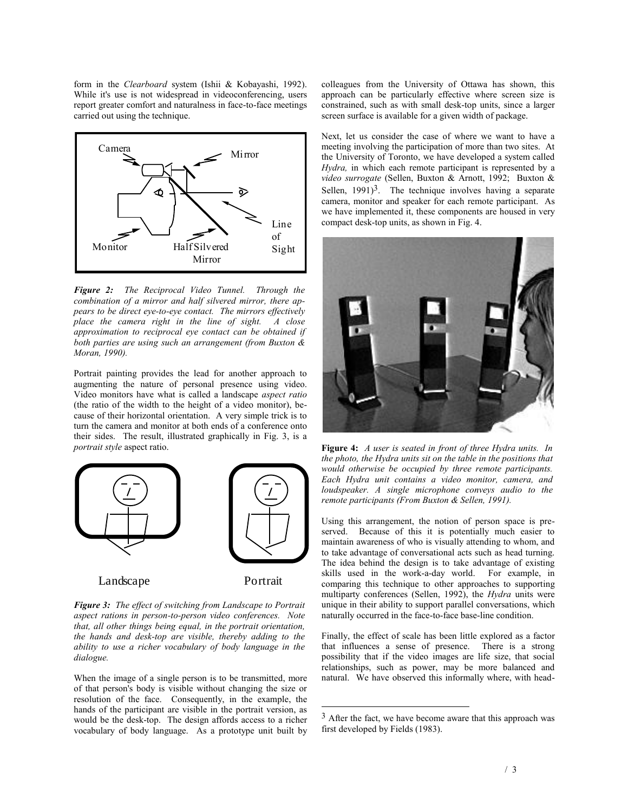form in the *Clearboard* system (Ishii & Kobayashi, 1992). While it's use is not widespread in videoconferencing, users report greater comfort and naturalness in face-to-face meetings carried out using the technique.



*Figure 2: The Reciprocal Video Tunnel. Through the combination of a mirror and half silvered mirror, there appears to be direct eye-to-eye contact. The mirrors effectively place the camera right in the line of sight. A close approximation to reciprocal eye contact can be obtained if both parties are using such an arrangement (from Buxton & Moran, 1990).*

Portrait painting provides the lead for another approach to augmenting the nature of personal presence using video. Video monitors have what is called a landscape *aspect ratio* (the ratio of the width to the height of a video monitor), because of their horizontal orientation. A very simple trick is to turn the camera and monitor at both ends of a conference onto their sides. The result, illustrated graphically in Fig. 3, is a *portrait style* aspect ratio.



Landscape Portrait

*Figure 3: The effect of switching from Landscape to Portrait aspect rations in person-to-person video conferences. Note that, all other things being equal, in the portrait orientation, the hands and desk-top are visible, thereby adding to the ability to use a richer vocabulary of body language in the dialogue.* 

When the image of a single person is to be transmitted, more of that person's body is visible without changing the size or resolution of the face. Consequently, in the example, the hands of the participant are visible in the portrait version, as would be the desk-top. The design affords access to a richer vocabulary of body language. As a prototype unit built by

colleagues from the University of Ottawa has shown, this approach can be particularly effective where screen size is constrained, such as with small desk-top units, since a larger screen surface is available for a given width of package.

Next, let us consider the case of where we want to have a meeting involving the participation of more than two sites. At the University of Toronto, we have developed a system called *Hydra,* in which each remote participant is represented by a *video surrogate* (Sellen, Buxton & Arnott, 1992; Buxton & Sellen,  $1991$ <sup>3</sup>. The technique involves having a separate camera, monitor and speaker for each remote participant. As we have implemented it, these components are housed in very compact desk-top units, as shown in Fig. 4.



**Figure 4:** *A user is seated in front of three Hydra units. In the photo, the Hydra units sit on the table in the positions that would otherwise be occupied by three remote participants. Each Hydra unit contains a video monitor, camera, and loudspeaker. A single microphone conveys audio to the remote participants (From Buxton & Sellen, 1991).*

Using this arrangement, the notion of person space is preserved. Because of this it is potentially much easier to maintain awareness of who is visually attending to whom, and to take advantage of conversational acts such as head turning. The idea behind the design is to take advantage of existing skills used in the work-a-day world. For example, in comparing this technique to other approaches to supporting multiparty conferences (Sellen, 1992), the *Hydra* units were unique in their ability to support parallel conversations, which naturally occurred in the face-to-face base-line condition.

Finally, the effect of scale has been little explored as a factor that influences a sense of presence. There is a strong possibility that if the video images are life size, that social relationships, such as power, may be more balanced and natural. We have observed this informally where, with head-

 $\overline{a}$ 

<sup>&</sup>lt;sup>3</sup> After the fact, we have become aware that this approach was first developed by Fields (1983).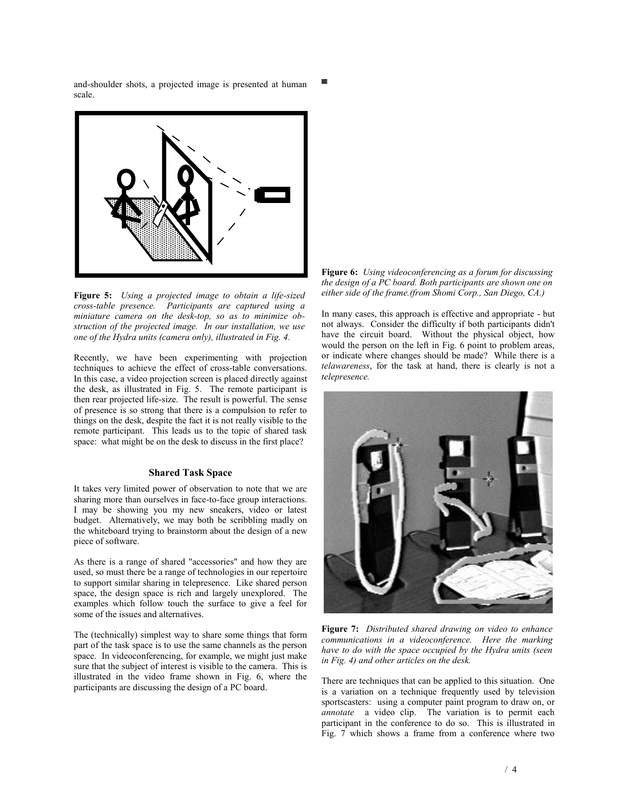and-shoulder shots, a projected image is presented at human scale.



**Figure 5:** *Using a projected image to obtain a life-sized cross-table presence. Participants are captured using a miniature camera on the desk-top, so as to minimize obstruction of the projected image. In our installation, we use one of the Hydra units (camera only), illustrated in Fig. 4.*

Recently, we have been experimenting with projection techniques to achieve the effect of cross-table conversations. In this case, a video projection screen is placed directly against the desk, as illustrated in Fig. 5. The remote participant is then rear projected life-size. The result is powerful. The sense of presence is so strong that there is a compulsion to refer to things on the desk, despite the fact it is not really visible to the remote participant. This leads us to the topic of shared task space: what might be on the desk to discuss in the first place?

## **Shared Task Space**

It takes very limited power of observation to note that we are sharing more than ourselves in face-to-face group interactions. I may be showing you my new sneakers, video or latest budget. Alternatively, we may both be scribbling madly on the whiteboard trying to brainstorm about the design of a new piece of software.

As there is a range of shared "accessories" and how they are used, so must there be a range of technologies in our repertoire to support similar sharing in telepresence. Like shared person space, the design space is rich and largely unexplored. The examples which follow touch the surface to give a feel for some of the issues and alternatives.

The (technically) simplest way to share some things that form part of the task space is to use the same channels as the person space. In videoconferencing, for example, we might just make sure that the subject of interest is visible to the camera. This is illustrated in the video frame shown in Fig. 6, where the participants are discussing the design of a PC board.



In many cases, this approach is effective and appropriate - but not always. Consider the difficulty if both participants didn't have the circuit board. Without the physical object, how would the person on the left in Fig. 6 point to problem areas, or indicate where changes should be made? While there is a *telawareness*, for the task at hand, there is clearly is not a *telepresence.*



**Figure 7:** *Distributed shared drawing on video to enhance communications in a videoconference. Here the marking have to do with the space occupied by the Hydra units (seen in Fig. 4) and other articles on the desk.*

There are techniques that can be applied to this situation. One is a variation on a technique frequently used by television sportscasters: using a computer paint program to draw on, or *annotate* a video clip. The variation is to permit each participant in the conference to do so. This is illustrated in Fig. 7 which shows a frame from a conference where two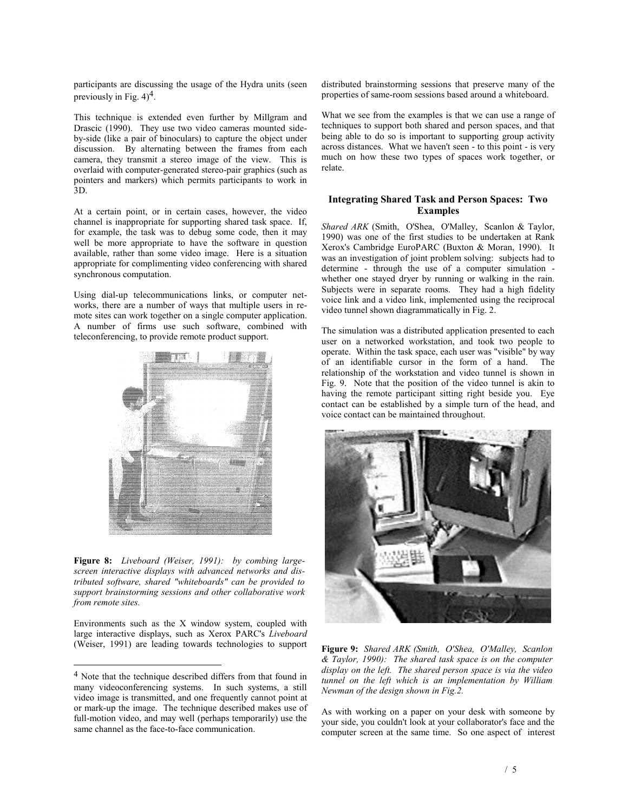participants are discussing the usage of the Hydra units (seen previously in Fig.  $4)^4$ .

This technique is extended even further by Millgram and Drascic (1990). They use two video cameras mounted sideby-side (like a pair of binoculars) to capture the object under discussion. By alternating between the frames from each camera, they transmit a stereo image of the view. This is overlaid with computer-generated stereo-pair graphics (such as pointers and markers) which permits participants to work in 3D.

At a certain point, or in certain cases, however, the video channel is inappropriate for supporting shared task space. If, for example, the task was to debug some code, then it may well be more appropriate to have the software in question available, rather than some video image. Here is a situation appropriate for complimenting video conferencing with shared synchronous computation.

Using dial-up telecommunications links, or computer networks, there are a number of ways that multiple users in remote sites can work together on a single computer application. A number of firms use such software, combined with teleconferencing, to provide remote product support.



**Figure 8:** *Liveboard (Weiser, 1991): by combing largescreen interactive displays with advanced networks and distributed software, shared "whiteboards" can be provided to support brainstorming sessions and other collaborative work from remote sites.*

Environments such as the X window system, coupled with large interactive displays, such as Xerox PARC's *Liveboard*  (Weiser, 1991) are leading towards technologies to support

l

distributed brainstorming sessions that preserve many of the properties of same-room sessions based around a whiteboard.

What we see from the examples is that we can use a range of techniques to support both shared and person spaces, and that being able to do so is important to supporting group activity across distances. What we haven't seen - to this point - is very much on how these two types of spaces work together, or relate.

# **Integrating Shared Task and Person Spaces: Two Examples**

*Shared ARK* (Smith, O'Shea, O'Malley, Scanlon & Taylor, 1990) was one of the first studies to be undertaken at Rank Xerox's Cambridge EuroPARC (Buxton & Moran, 1990). It was an investigation of joint problem solving: subjects had to determine - through the use of a computer simulation whether one stayed dryer by running or walking in the rain. Subjects were in separate rooms. They had a high fidelity voice link and a video link, implemented using the reciprocal video tunnel shown diagrammatically in Fig. 2.

The simulation was a distributed application presented to each user on a networked workstation, and took two people to operate. Within the task space, each user was "visible" by way of an identifiable cursor in the form of a hand. The relationship of the workstation and video tunnel is shown in Fig. 9. Note that the position of the video tunnel is akin to having the remote participant sitting right beside you. Eye contact can be established by a simple turn of the head, and voice contact can be maintained throughout.



**Figure 9:** *Shared ARK (Smith, O'Shea, O'Malley, Scanlon & Taylor, 1990): The shared task space is on the computer display on the left. The shared person space is via the video tunnel on the left which is an implementation by William Newman of the design shown in Fig.2.*

As with working on a paper on your desk with someone by your side, you couldn't look at your collaborator's face and the computer screen at the same time. So one aspect of interest

<sup>4</sup> Note that the technique described differs from that found in many videoconferencing systems. In such systems, a still video image is transmitted, and one frequently cannot point at or mark-up the image. The technique described makes use of full-motion video, and may well (perhaps temporarily) use the same channel as the face-to-face communication.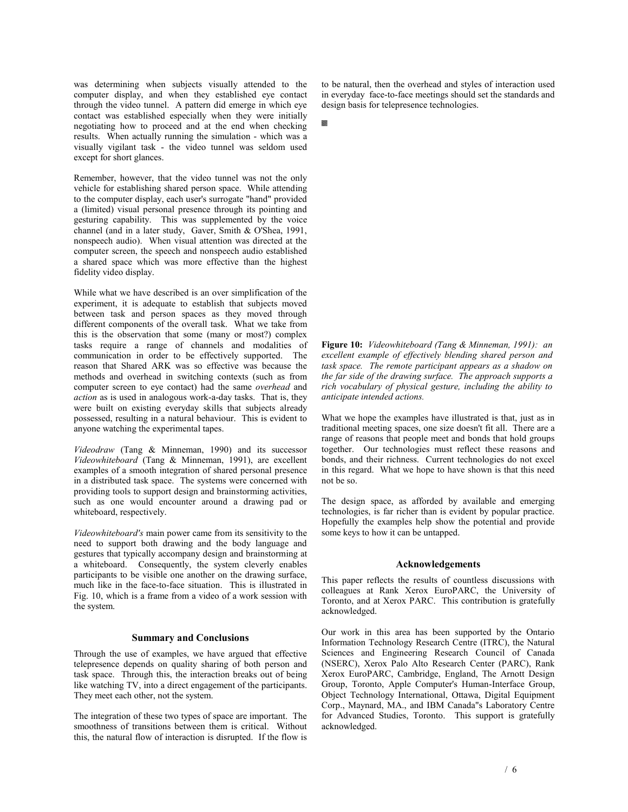was determining when subjects visually attended to the computer display, and when they established eye contact through the video tunnel. A pattern did emerge in which eye contact was established especially when they were initially negotiating how to proceed and at the end when checking results. When actually running the simulation - which was a visually vigilant task - the video tunnel was seldom used except for short glances.

Remember, however, that the video tunnel was not the only vehicle for establishing shared person space. While attending to the computer display, each user's surrogate "hand" provided a (limited) visual personal presence through its pointing and gesturing capability. This was supplemented by the voice channel (and in a later study, Gaver, Smith & O'Shea, 1991, nonspeech audio). When visual attention was directed at the computer screen, the speech and nonspeech audio established a shared space which was more effective than the highest fidelity video display.

While what we have described is an over simplification of the experiment, it is adequate to establish that subjects moved between task and person spaces as they moved through different components of the overall task. What we take from this is the observation that some (many or most?) complex tasks require a range of channels and modalities of communication in order to be effectively supported. The reason that Shared ARK was so effective was because the methods and overhead in switching contexts (such as from computer screen to eye contact) had the same *overhead* and *action* as is used in analogous work-a-day tasks. That is, they were built on existing everyday skills that subjects already possessed, resulting in a natural behaviour. This is evident to anyone watching the experimental tapes.

*Videodraw* (Tang & Minneman, 1990) and its successor *Videowhiteboard* (Tang & Minneman, 1991), are excellent examples of a smooth integration of shared personal presence in a distributed task space. The systems were concerned with providing tools to support design and brainstorming activities, such as one would encounter around a drawing pad or whiteboard, respectively.

*Videowhiteboard's* main power came from its sensitivity to the need to support both drawing and the body language and gestures that typically accompany design and brainstorming at a whiteboard. Consequently, the system cleverly enables participants to be visible one another on the drawing surface, much like in the face-to-face situation. This is illustrated in Fig. 10, which is a frame from a video of a work session with the system.

### **Summary and Conclusions**

Through the use of examples, we have argued that effective telepresence depends on quality sharing of both person and task space. Through this, the interaction breaks out of being like watching TV, into a direct engagement of the participants. They meet each other, not the system.

The integration of these two types of space are important. The smoothness of transitions between them is critical. Without this, the natural flow of interaction is disrupted. If the flow is to be natural, then the overhead and styles of interaction used in everyday face-to-face meetings should set the standards and design basis for telepresence technologies.

**Figure 10:** *Videowhiteboard (Tang & Minneman, 1991): an excellent example of effectively blending shared person and task space. The remote participant appears as a shadow on the far side of the drawing surface. The approach supports a rich vocabulary of physical gesture, including the ability to anticipate intended actions.* 

What we hope the examples have illustrated is that, just as in traditional meeting spaces, one size doesn't fit all. There are a range of reasons that people meet and bonds that hold groups together. Our technologies must reflect these reasons and bonds, and their richness. Current technologies do not excel in this regard. What we hope to have shown is that this need not be so.

The design space, as afforded by available and emerging technologies, is far richer than is evident by popular practice. Hopefully the examples help show the potential and provide some keys to how it can be untapped.

### **Acknowledgements**

This paper reflects the results of countless discussions with colleagues at Rank Xerox EuroPARC, the University of Toronto, and at Xerox PARC. This contribution is gratefully acknowledged.

Our work in this area has been supported by the Ontario Information Technology Research Centre (ITRC), the Natural Sciences and Engineering Research Council of Canada (NSERC), Xerox Palo Alto Research Center (PARC), Rank Xerox EuroPARC, Cambridge, England, The Arnott Design Group, Toronto, Apple Computer's Human-Interface Group, Object Technology International, Ottawa, Digital Equipment Corp., Maynard, MA., and IBM Canada"s Laboratory Centre for Advanced Studies, Toronto. This support is gratefully acknowledged.